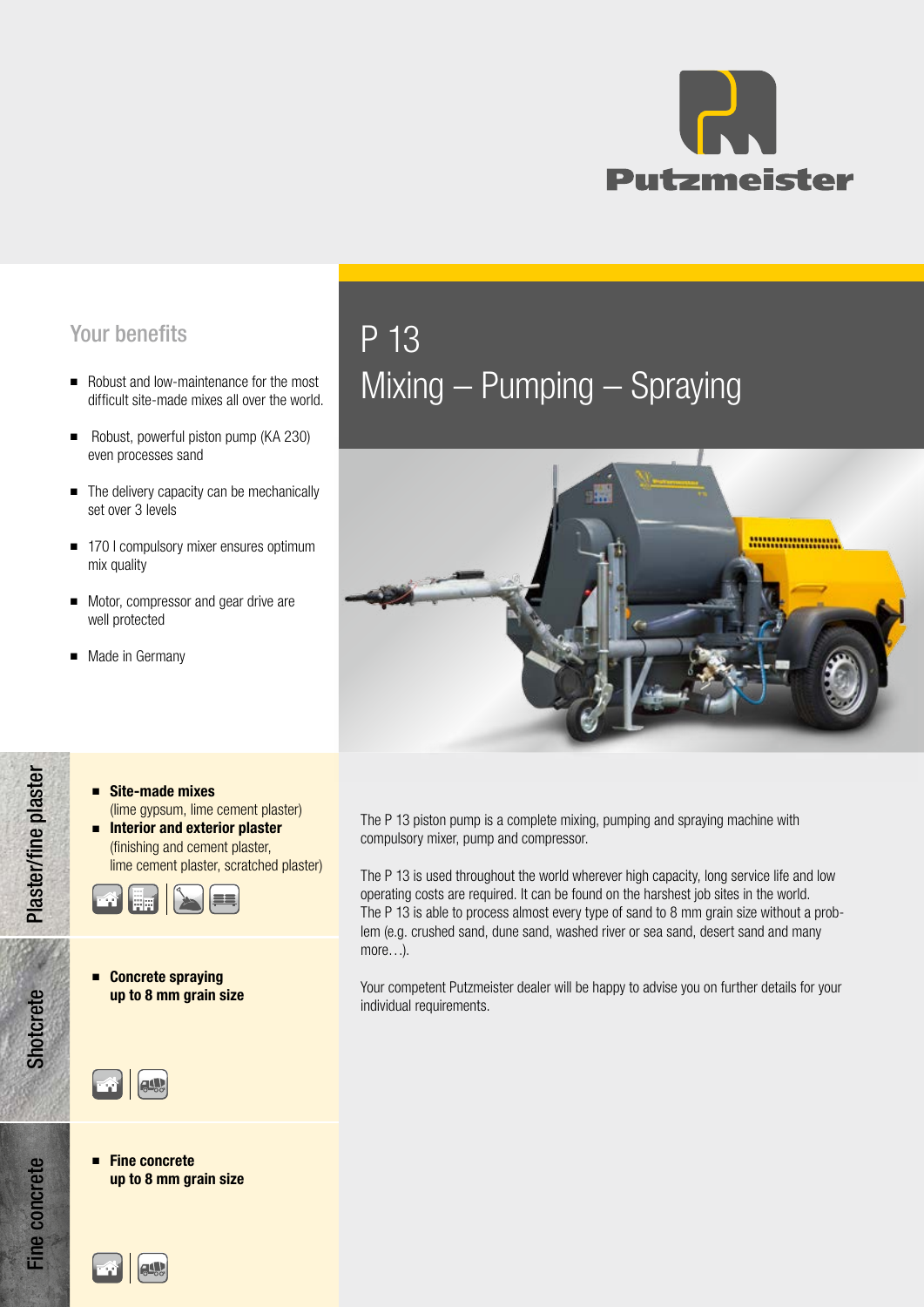

## Your benefits P 13

- difficult site-made mixes all over the world.
- Robust, powerful piston pump (KA 230) even processes sand
- The delivery capacity can be mechanically set over 3 levels
- 170 l compulsory mixer ensures optimum mix quality
- Motor, compressor and gear drive are well protected
- Made in Germany

## ■ Robust and low-maintenance for the most<br>difficult site-made mixes all over the world. Mixing — Pumping — Spraying



- Site-made mixes (lime gypsum, lime cement plaster) ■ Interior and exterior plaster
- (finishing and cement plaster, lime cement plaster, scratched plaster)



■ Concrete spraying up to 8 mm grain size



■ Fine concrete up to 8 mm grain size

Shotcrete Plaster/fine plaster Fine concrete Shotcrete Plaster/fine plaster



The P 13 piston pump is a complete mixing, pumping and spraying machine with compulsory mixer, pump and compressor.

The P 13 is used throughout the world wherever high capacity, long service life and low operating costs are required. It can be found on the harshest job sites in the world. The P 13 is able to process almost every type of sand to 8 mm grain size without a problem (e.g. crushed sand, dune sand, washed river or sea sand, desert sand and many more…).

Your competent Putzmeister dealer will be happy to advise you on further details for your individual requirements.